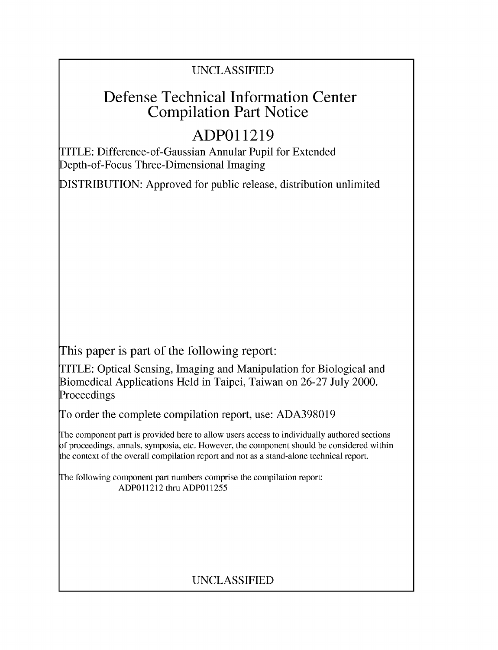# UNCLASSIFIED

# **Defense Technical Information Center Compilation Part Notice**

# **ADPO 11219**

TITLE: Difference-of-Gaussian Annular Pupil for Extended Depth-of-Focus Three-Dimensional Imaging

DISTRIBUTION: Approved for public release, distribution unlimited

This paper is part of the following report:

TITLE: Optical Sensing, Imaging and Manipulation for Biological and Biomedical Applications Held in Taipei, Taiwan on 26-27 July 2000. Proceedings

To order the complete compilation report, use: ADA398019

The component part is provided here to allow users access to individually authored sections f proceedings, annals, symposia, etc. However, the component should be considered within [he context of the overall compilation report and not as a stand-alone technical report.

The following component part numbers comprise the compilation report: ADPO11212 thru ADP011255

# UNCLASSIFIED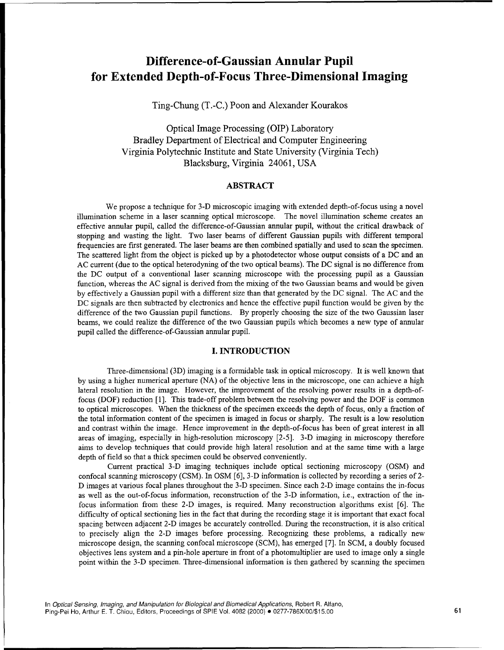# **Difference-of-Gaussian Annular Pupil for Extended Depth-of-Focus Three-Dimensional Imaging**

Ting-Chung (T.-C.) Poon and Alexander Kourakos

Optical Image Processing (OIP) Laboratory Bradley Department of Electrical and Computer Engineering Virginia Polytechnic Institute and State University (Virginia Tech) Blacksburg, Virginia 24061, **USA**

# **ABSTRACT**

We propose a technique for **3-D** microscopic imaging with extended depth-of-focus using a novel illumination scheme in a laser scanning optical microscope. The novel illumination scheme creates an effective annular pupil, called the difference-of-Gaussian annular pupil, without the critical drawback of stopping and wasting the light. Two laser beams of different Gaussian pupils with different temporal frequencies are first generated. The laser beams are then combined spatially and used to scan the specimen. The scattered light from the object is picked up by a photodetector whose output consists of a DC and an AC current (due to the optical heterodyning of the two optical beams). The DC signal is no difference from the DC output of a conventional laser scanning microscope with the processing pupil as a Gaussian function, whereas the AC signal is derived from the mixing of the two Gaussian beams and would be given by effectively a Gaussian pupil with a different size than that generated by the DC signal. The AC and the DC signals are then subtracted by electronics and hence the effective pupil function would be given by the difference of the two Gaussian pupil functions. By properly choosing the size of the two Gaussian laser beams, we could realize the difference of the two Gaussian pupils which becomes a new type of annular pupil called the difference-of-Gaussian annular pupil.

# **I. INTRODUCTION**

Three-dimensional **(3D)** imaging is a formidable task in optical microscopy. It is well known that **by** using a higher numerical aperture **(NA)** of the objective lens in the microscope, one can achieve a high lateral resolution in the image. However, the improvement of the resolving power results in a depth-offocus (DOF) reduction **[1].** This trade-off problem between the resolving power and the DOF is common to optical microscopes. When the thickness of the specimen exceeds the depth of focus, only a fraction of the total information content of the specimen is imaged in focus or sharply. The result is a low resolution and contrast within the image. Hence improvement in the depth-of-focus has been of great interest in all areas of imaging, especially in high-resolution microscopy [2-5]. **3-D** imaging in microscopy therefore aims to develop techniques that could provide high lateral resolution and at the same time with a large depth of field so that a thick specimen could be observed conveniently.

Current practical **3-D** imaging techniques include optical sectioning microscopy **(OSM)** and confocal scanning microscopy (CSM). In **OSM [6], 3-D** information is collected **by** recording a series of 2- **D** images at various focal planes throughout the **3-D** specimen. Since each **2-D** image contains the in-focus as well as the out-of-focus information, reconstruction of the **3-D** information, i.e., extraction of the infocus information from these **2-D** images, is required. Many reconstruction algorithms exist [6]. The difficulty of optical sectioning lies in the fact that during the recording stage it is important that exact focal spacing between adjacent **2-D** images be accurately controlled. During the reconstruction, it is also critical to precisely align the **2-D** images before processing. Recognizing these problems, a radically new microscope design, the scanning confocal microscope (SCM), has emerged [7]. In SCM, a doubly focused objectives lens system and a pin-hole aperture in front of a photomultiplier are used to image only a single point within the **3-D** specimen. Three-dimensional information is then gathered **by** scanning the specimen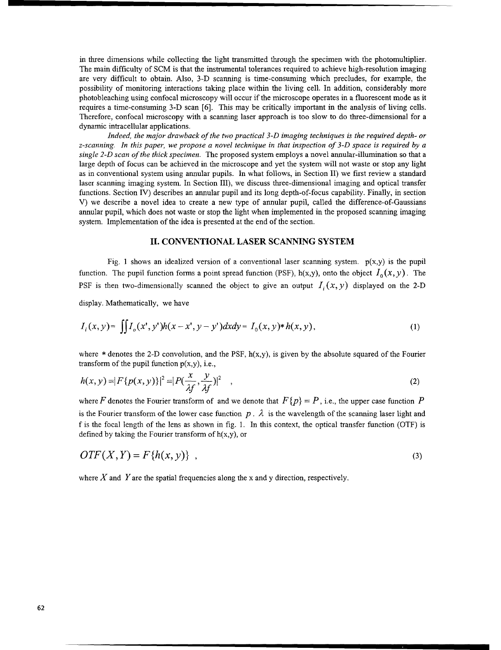in three dimensions while collecting the light transmitted through the specimen with the photomultiplier. The main difficulty of SCM is that the instrumental tolerances required to achieve high-resolution imaging are very difficult to obtain. Also, 3-D scanning is time-consuming which precludes, for example, the possibility of monitoring interactions taking place within the living cell. In addition, considerably more photobleaching using confocal microscopy will occur if the microscope operates in a fluorescent mode as it requires a time-consuming 3-D scan [6]. This may be critically important in the analysis of living cells. Therefore, confocal microscopy with a scanning laser approach is too slow to do three-dimensional for a dynamic intracellular applications.

*Indeed, the major drawback of the two practical 3-D imaging techniques is the required depth- or z-scanning. In this paper, we propose a novel technique in that inspection of 3-D space is required by a single 2-D scan of the thick specimen.* The proposed system employs a novel annular-illumination so that a large depth of focus can be achieved in the microscope and yet the system will not waste or stop any light as in conventional system using annular pupils. In what follows, in Section II) we first review a standard laser scanning imaging system. In Section III), we discuss three-dimensional imaging and optical transfer functions. Section IV) describes an annular pupil and its long depth-of-focus capability. Finally, in section V) we describe a novel idea to create a new type of annular pupil, called the difference-of-Gaussians annular pupil, which does not waste or stop the light when implemented in the proposed scanning imaging system. Implementation of the idea is presented at the end of the section.

## **II. CONVENTIONAL LASER SCANNING SYSTEM**

Fig. 1 shows an idealized version of a conventional laser scanning system.  $p(x,y)$  is the pupil function. The pupil function forms a point spread function (PSF),  $h(x,y)$ , onto the object  $I_0(x, y)$ . The PSF is then two-dimensionally scanned the object to give an output  $I_i(x, y)$  displayed on the 2-D

display. Mathematically, we have

$$
I_i(x, y) = \iint I_o(x', y')h(x - x', y - y')dxdy = I_o(x, y) * h(x, y), \tag{1}
$$

where  $*$  denotes the 2-D convolution, and the PSF,  $h(x,y)$ , is given by the absolute squared of the Fourier transform of the pupil function  $p(x,y)$ , i.e.,

$$
h(x, y) = |F\{p(x, y)\}|^2 = |P(\frac{x}{\lambda f}, \frac{y}{\lambda f})|^2 \quad ,
$$
 (2)

where *F* denotes the Fourier transform of and we denote that  $F\{p\} = P$ , i.e., the upper case function *P* is the Fourier transform of the lower case function  $p \cdot \lambda$  is the wavelength of the scanning laser light and f is the focal length of the lens as shown in fig. 1. In this context, the optical transfer function (OTF) is defined by taking the Fourier transform of  $h(x,y)$ , or

$$
OTF(X, Y) = F\{h(x, y)\}\tag{3}
$$

where  $X$  and  $Y$  are the spatial frequencies along the x and y direction, respectively.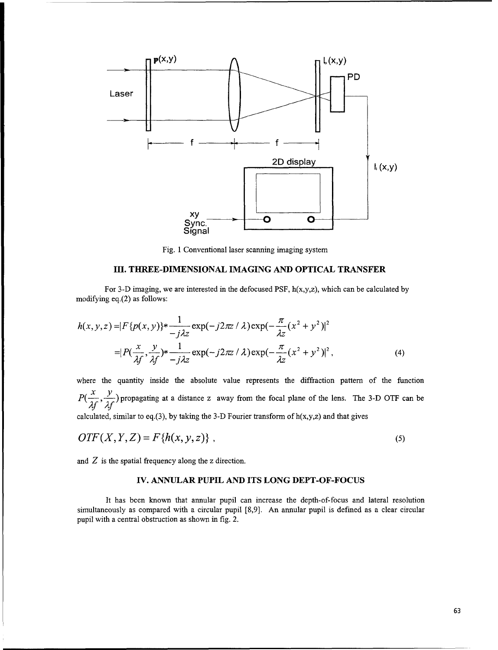

Fig. 1 Conventional laser scanning imaging system

# **III. THREE-DIMENSIONAL IMAGING AND OPTICAL** TRANSFER

**For** 3-D imaging, we are interested in the defocused **PSF,** h(x,y,z), which can be calculated by modifying eq.(2) as follows:

$$
h(x, y, z) = |F\{p(x, y)\}*\frac{1}{-j\lambda z}\exp(-j2\pi z/\lambda)\exp(-\frac{\pi}{\lambda z}(x^2 + y^2))^2
$$
  
= 
$$
|P(\frac{x}{\lambda f}, \frac{y}{\lambda f})*\frac{1}{-j\lambda z}\exp(-j2\pi z/\lambda)\exp(-\frac{\pi}{\lambda z}(x^2 + y^2))^2,
$$
 (4)

where the quantity inside the absolute value represents the diffraction pattern of the function  $P(\frac{x}{26},\frac{y}{26})$  propagating at a distance z away from the focal plane of the lens. The 3-D OTF can be *Af'2f* calculated, similar to eq.(3), by taking the 3-D Fourier transform of  $h(x,y,z)$  and that gives

$$
OTF(X, Y, Z) = F\{h(x, y, z)\},\tag{5}
$$

and *Z* is the spatial frequency along the z direction.

# **IV. ANNULAR PUPIL AND ITS LONG DEPT-OF-FOCUS**

It has been known that annular pupil can increase the depth-of-focus and lateral resolution simultaneously as compared with a circular pupil **[8,9].** An annular pupil is defined as a clear circular pupil with a central obstruction as shown in fig. 2.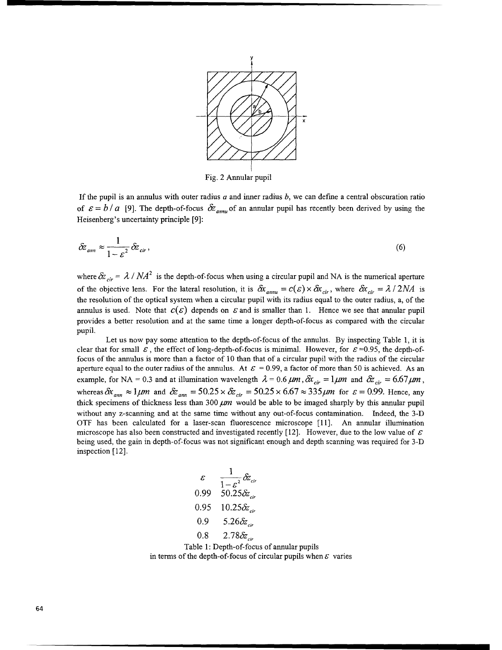

Fig. 2 Annular pupil

If the pupil is an annulus with outer radius a and inner radius *b,* we can define a central obscuration ratio of  $\varepsilon = b/a$  [9]. The depth-of-focus  $\delta z_{\text{annu}}$  of an annular pupil has recently been derived by using the Heisenberg's uncertainty principle [9]:

$$
\delta z_{\rm ann} \approx \frac{1}{1 - \varepsilon^2} \delta z_{\rm cir} \,, \tag{6}
$$

where  $\delta z_{cir} = \lambda / N A^2$  is the depth-of-focus when using a circular pupil and NA is the numerical aperture of the objective lens. For the lateral resolution, it is  $\delta x_{\text{annu}} = c(\varepsilon) \times \delta x_{\text{cir}}$ , where  $\delta x_{\text{cir}} = \lambda / 2NA$  is the resolution of the optical system when a circular pupil with its radius equal to the outer radius, a, of the annulus is used. Note that  $c(\mathcal{E})$  depends on  $\mathcal E$  and is smaller than 1. Hence we see that annular pupil provides a better resolution and at the same time a longer depth-of-focus as compared with the circular pupil.

Let us now pay some attention to the depth-of-focus of the annulus. By inspecting Table 1, it is clear that for small  $\mathcal{E}$ , the effect of long-depth-of-focus is minimal. However, for  $\mathcal{E}$ =0.95, the depth-offocus of the annulus is more than a factor of 10 than that of a circular pupil with the radius of the circular aperture equal to the outer radius of the annulus. At  $\varepsilon = 0.99$ , a factor of more than 50 is achieved. As an example, for NA = 0.3 and at illumination wavelength  $\lambda = 0.6 \ \mu m$ ,  $\delta x_{cir} = 1 \mu m$  and  $\delta z_{cir} = 6.67 \mu m$ , whereas  $\delta x_{\text{ann}} \approx 1 \mu m$  and  $\delta z_{\text{ann}} = 50.25 \times \delta z_{\text{cir}} = 50.25 \times 6.67 \approx 335 \mu m$  for  $\varepsilon = 0.99$ . Hence, any thick specimens of thickness less than  $300 \mu m$  would be able to be imaged sharply by this annular pupil without any z-scanning and at the same time without any out-of-focus contamination. Indeed, the 3-D OTF has been calculated for a laser-scan fluorescence microscope [11]. An annular illumination microscope has also been constructed and investigated recently [12]. However, due to the low value of  $\varepsilon$ being used, the gain in depth-of-focus was not significant enough and depth scanning was required for 3-D inspection [12].

$$
\varepsilon \frac{1}{1-\varepsilon^2} \delta z_{\text{cir}}
$$
  
0.99 50.25 $\delta z_{\text{cir}}$   
0.95 10.25 $\delta z_{\text{cir}}$   
0.9 5.26 $\delta z_{\text{cir}}$   
0.8 2.78 $\delta z_{\text{cr}}$ 

Table 1: Depth-of-focus of annular pupils in terms of the depth-of-focus of circular pupils when  $\varepsilon$  varies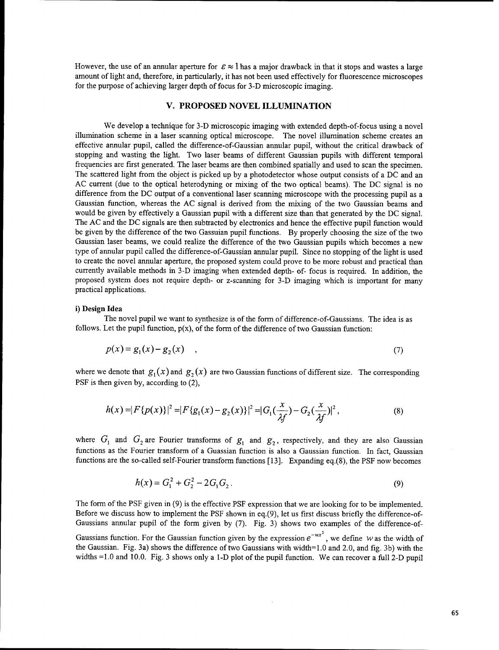However, the use of an annular aperture for  $\epsilon \approx 1$  has a major drawback in that it stops and wastes a large amount of light and, therefore, in particularly, it has not been used effectively for fluorescence microscopes for the purpose of achieving larger depth of focus for 3-D microscopic imaging.

# **V. PROPOSED NOVEL ILLUMINATION**

We develop a technique for 3-D microscopic imaging with extended depth-of-focus using a novel illumination scheme in a laser scanning optical microscope. The novel illumination scheme creates an effective annular pupil, called the difference-of-Gaussian annular pupil, without the critical drawback of stopping and wasting the light. Two laser beams of different Gaussian pupils with different temporal frequencies are first generated. The laser beams are then combined spatially and used to scan the specimen. The scattered light from the object is picked up by a photodetector whose output consists of a DC and an AC current (due to the optical heterodyning or mixing of the two optical beams). The DC signal is no difference from the DC output of a conventional laser scanning microscope with the processing pupil as a Gaussian function, whereas the AC signal is derived from the mixing of the two Gaussian beams and would be given by effectively a Gaussian pupil with a different size than that generated by the DC signal. The AC and the DC signals are then subtracted by electronics and hence the effective pupil function would be given by the difference of the two Gassuian pupil functions. By properly choosing the size of the two Gaussian laser beams, we could realize the difference of the two Gaussian pupils which becomes a new type of annular pupil called the difference-of-Gaussian annular pupil. Since no stopping of the light is used to create the novel annular aperture, the proposed system could prove to be more robust and practical than currently available methods in 3-D imaging when extended depth- of- focus is required. In addition, the proposed system does not require depth- or z-scanning for 3-D imaging which is important for many practical applications.

### i) Design Idea

The novel pupil we want to synthesize is of the form of difference-of-Gaussians. The idea is as follows. Let the pupil function,  $p(x)$ , of the form of the difference of two Gaussian function:

$$
p(x) = g_1(x) - g_2(x) \quad , \tag{7}
$$

where we denote that  $g_1(x)$  and  $g_2(x)$  are two Gaussian functions of different size. The corresponding PSF is then given by, according to  $(2)$ ,

$$
h(x) = |F\{p(x)\}|^2 = |F\{g_1(x) - g_2(x)\}|^2 = |G_1(\frac{x}{\lambda f}) - G_2(\frac{x}{\lambda f})|^2,
$$
\n(8)

where  $G_1$  and  $G_2$  are Fourier transforms of  $g_1$  and  $g_2$ , respectively, and they are also Gaussian functions as the Fourier transform of a Guassian function is also a Gaussian function. In fact, Gaussian functions are the so-called self-Fourier transform functions [13]. Expanding eq.(8), the PSF now becomes

$$
h(x) = G_1^2 + G_2^2 - 2G_1G_2.
$$
 (9)

The form of the PSF given in (9) is the effective PSF expression that we are looking for to be implemented. Before we discuss how to implement the PSF shown in eq.(9), let us first discuss briefly the difference-of-Gaussians annular pupil of the form given by (7). Fig. 3) shows two examples of the difference-of-

Gaussians function. For the Gaussian function given by the expression  $e^{-wx^2}$ , we define *w* as the width of the Gaussian. Fig. 3a) shows the difference of two Gaussians with width=l.0 and 2.0, and **fig. 3b)** with the widths **=1.0** and **10.0.** Fig. **3** shows only a **1-D** plot of the pupil function. We can recover a full **2-D** pupil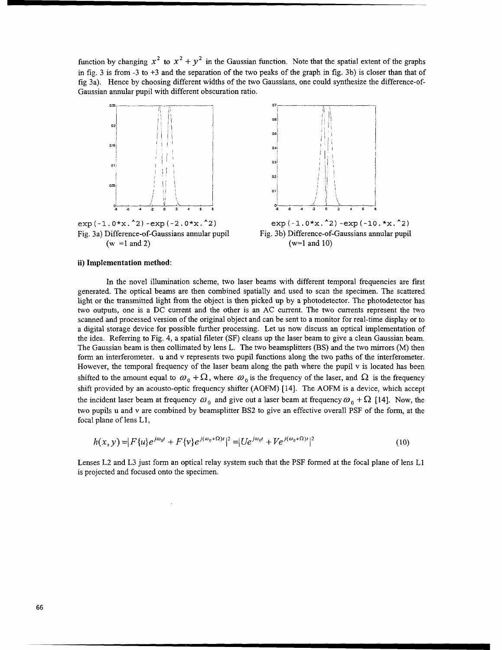function by changing  $x^2$  to  $x^2 + y^2$  in the Gaussian function. Note that the spatial extent of the graphs in fig. 3 is from -3 to +3 and the separation of the two peaks of the graph in fig. 3b) is closer than that of fig 3a). Hence by choosing different widths of the two Gaussians, one could synthesize the difference-of-Gaussian annular pupil with different obscuration ratio.







#### **ii) Implementation method:**

In the novel illumination scheme, two laser beams with different temporal frequencies are first generated. The optical beams are then combined spatially and used to scan the specimen. The scattered light or the transmitted light from the object is then picked up by a photodetector. The photodetector has two outputs, one is a DC current and the other is an AC current. The two currents represent the two scanned and processed version of the original object and can be sent to a monitor for real-time display or to a digital storage device for possible further processing. Let us now discuss an optical implementation of the idea. Referring to Fig. 4, a spatial fileter (SF) cleans up the laser beam to give a clean Gaussian beam. The Gaussian beam is then collimated by lens L. The two beamsplitters (BS) and the two mirrors (M) then form an interferometer. u and v represents two pupil functions along the two paths of the interferometer. However, the temporal frequency of the laser beam along the path where the pupil v is located has been shifted to the amount equal to  $\omega_0 + \Omega$ , where  $\omega_0$  is the frequency of the laser, and  $\Omega$  is the frequency shift provided by an acousto-optic frequency shifter (AOFM) [14]. The AOFM is a device, which accept the incident laser beam at frequency  $\omega_0$  and give out a laser beam at frequency  $\omega_0 + \Omega$  [14]. Now, the two pupils u and v are combined by beamsplitter BS2 to give an effective overall PSF of the form, at the focal plane of lens L1,

$$
h(x, y) = |F\{u\}e^{j\omega_0 t} + F\{v\}e^{j(\omega_0 + \Omega)t}|^2 = |Ue^{j\omega_0 t} + Ve^{j(\omega_0 + \Omega)t}|^2
$$
\n(10)

Lenses L2 and L3 just form an optical relay system such that the PSF formed at the focal plane of lens LI is projected and focused onto the specimen.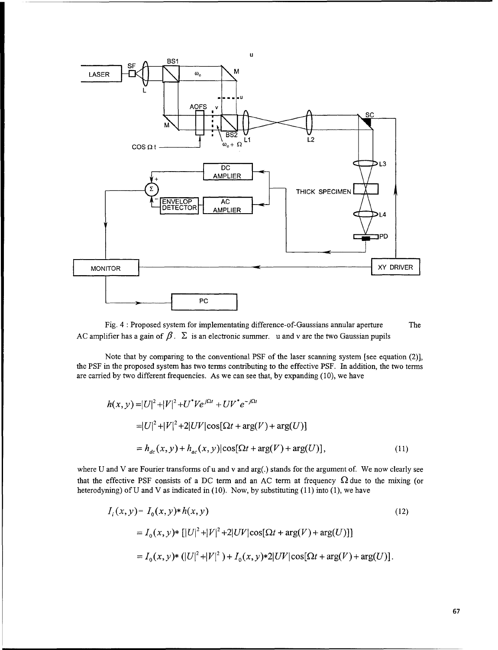

Fig. 4 : Proposed system for implementating difference-of-Gaussians annular aperture The AC amplifier has a gain of  $\beta$ .  $\Sigma$  is an electronic summer. u and v are the two Gaussian pupils

Note that by comparing to the conventional PSF of the laser scanning system [see equation (2)], the PSF in the proposed system has two terms contributing to the effective PSF. In addition, the two terms are carried by two different frequencies. As we can see that, by expanding (10), we have

$$
h(x, y) = |U|^2 + |V|^2 + U^*Ve^{j\Omega t} + UV^*e^{-j\Omega t}
$$
  
=|U|^2 + |V|^2 + 2|UV|\cos[\Omega t + \arg(V) + \arg(U)]  
= h\_{dc}(x, y) + h\_{ac}(x, y)|\cos[\Omega t + \arg(V) + \arg(U)], (11)

where U and V are Fourier transforms of  $u$  and  $v$  and  $arg(.)$  stands for the argument of. We now clearly see that the effective PSF consists of a DC term and an AC term at frequency  $\Omega$  due to the mixing (or heterodyning) of U and V as indicated in (10). Now, by substituting (11) into (1), we have

$$
I_i(x, y) = I_0(x, y) * h(x, y)
$$
\n
$$
= I_0(x, y) * [[U]^2 + |V]^2 + 2|UV|\cos[\Omega t + \arg(V) + \arg(U)]]
$$
\n
$$
= I_0(x, y) * ([U]^2 + |V|^2) + I_0(x, y) * 2|UV|\cos[\Omega t + \arg(V) + \arg(U)].
$$
\n(12)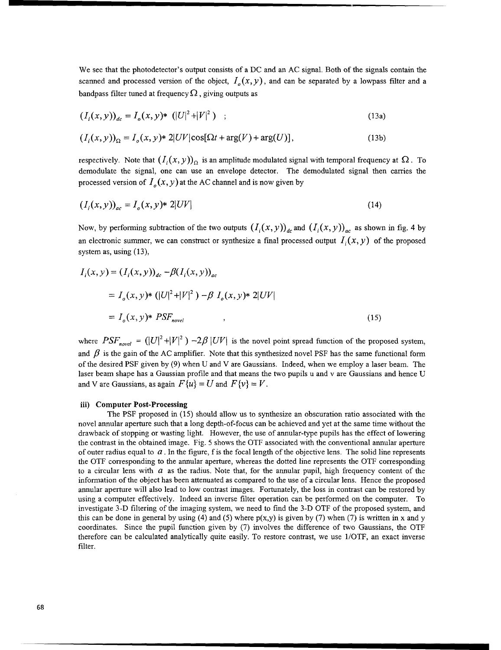We see that the photodetector's output consists of a DC and an AC signal. Both of the signals contain the scanned and processed version of the object,  $I_a(x, y)$ , and can be separated by a lowpass filter and a bandpass filter tuned at frequency  $\Omega$ , giving outputs as

$$
(I_i(x, y))_{dc} = I_o(x, y) * (|U|^2 + |V|^2) ; \qquad (13a)
$$

$$
(I_i(x, y))_{\Omega} = I_o(x, y) * 2|UV|\cos[\Omega t + \arg(V) + \arg(U)],
$$
\n(13b)

respectively. Note that  $(I_i(x, y))_{\Omega}$  is an amplitude modulated signal with temporal frequency at  $\Omega$ . To demodulate the signal, one can use an envelope detector. The demodulated signal then carries the processed version of  $I_o(x, y)$  at the AC channel and is now given by

$$
(I_i(x, y))_{ac} = I_o(x, y) * 2|UV|
$$
 (14)

Now, by performing subtraction of the two outputs  $(I_i(x, y))_{dc}$  and  $(I_i(x, y))_{ac}$  as shown in fig. 4 by an electronic summer, we can construct or synthesize a final processed output  $I_i(x, y)$  of the proposed system as, using (13),

$$
I_i(x, y) = (I_i(x, y))_{dc} - \beta (I_i(x, y))_{ac}
$$
  
=  $I_o(x, y) * (|U|^2 + |V|^2) - \beta I_o(x, y) * 2|UV|$   
=  $I_o(x, y) * PSF_{novel}$  (15)

where  $PSF_{novel} = (|U|^2 + |V|^2) - 2\beta |UV|$  is the novel point spread function of the proposed system, and  $\beta$  is the gain of the AC amplifier. Note that this synthesized novel PSF has the same functional form of the desired PSF given by (9) when U and V are Gaussians. Indeed, when we employ a laser beam. The laser beam shape has a Gaussian profile and that means the two pupils u and v are Gaussians and hence U and V are Gaussians, as again  $F\{u\} = U$  and  $F\{v\} = V$ .

### iii) Computer Post-Processing

The PSF proposed in (15) should allow us to synthesize an obscuration ratio associated with the novel annular aperture such that a long depth-of-focus can be achieved and yet at the same time without the drawback of stopping or wasting light. However, the use of annular-type pupils has the effect of lowering the contrast in the obtained image. Fig. 5 shows the OTF associated with the conventional annular aperture of outer radius equal to *a.* In the figure, f is the focal length of the objective lens. The solid line represents the OTF corresponding to the annular aperture, whereas the dotted line represents the OTF corresponding to a circular lens with  $a$  as the radius. Note that, for the annular pupil, high frequency content of the information of the object has been attenuated as compared to the use of a circular lens. Hence the proposed annular aperture will also lead to low contrast images. Fortunately, the loss in contrast can be restored by using a computer effectively. Indeed an inverse filter operation can be performed on the computer. To investigate 3-D filtering of the imaging system, we need to find the 3-D OTF of the proposed system, and this can be done in general by using (4) and (5) where  $p(x,y)$  is given by (7) when (7) is written in x and y coordinates. Since the pupil function given by (7) involves the difference of two Gaussians, the OTF therefore can be calculated analytically quite easily. To restore contrast, we use 1/OTF, an exact inverse filter.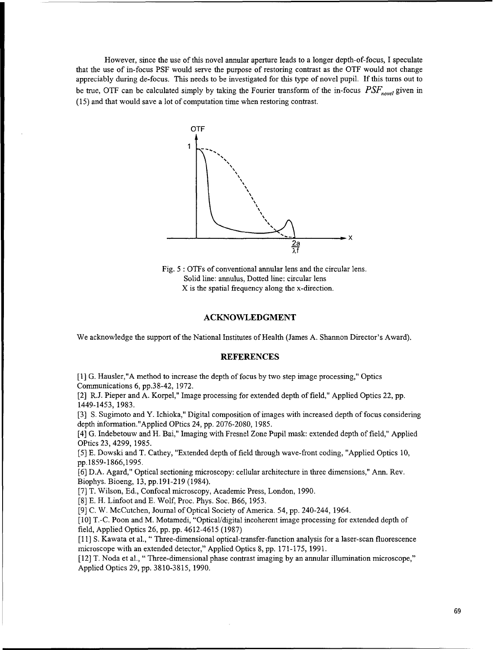However, since the use of this novel annular aperture leads to a longer depth-of-focus, I speculate that the use of in-focus PSF would serve the purpose of restoring contrast as the OTF would not change appreciably during de-focus. This needs to be investigated for this type of novel pupil. If this turns out to be true, OTF can be calculated simply by taking the Fourier transform of the in-focus  $PSF_{novel}$  given in (15) and that would save a lot of computation time when restoring contrast.



Fig. 5 : OTFs of conventional annular lens and the circular lens. Solid line: annulus, Dotted line: circular lens X is the spatial frequency along the x-direction.

### **ACKNOWLEDGMENT**

We acknowledge the support of the National Institutes of Health (James **A.** Shannon Director's Award).

### **REFERENCES**

**[1] G. Hausler,"A** method **to** increase the **depth of focus by two** step **image processing," Optics Communications 6, pp.38-42, 1972.**

**[2]** R.J. **Pieper and A.** Korpel," **Image processing for** extended **depth of** field," **Applied Optics** *22,* **pp. 1449-1453, 1983.**

**[3] S. Sugimnoto and Y. Ichioka," Digital composition of images with** increased **depth of focus considering** depth **information. "Applied OPtics** *24,* **pp. 2076-2080, 1985.**

**[4] G. Indebetouw and H. Bai," Imaging** with **Fresnel Zone Pupil mask:** extended depth **of** field," **Applied OPtics** *23,* **4299, 1985.**

**[5] E. Dowski and T. Cathey,** "Extended **depth of field through wave-front coding, "Applied Optics 10, pp. 1859-1866,1995.**

**[6] D.A. Agard," Optical sectioning** microscopy: **cellular architecture in** three **dimensions," Ann.** Rev. **Biophys. Bioeng, 13, pp. 191-219** (1984).

**[7] T. Wilson, Ed., Confocal microscopy,** Academic Press, **London, 1990.**

**[8] E.** H. **Linfoot and E. Wolf, Proc. Phys. Soc. B66, 1953.**

**[91 C.** W. **McCutchen, Journal of Optical Society of** America. **54, pp. 240-244, 1964.**

**[10] T.-C. Poon and** M. **Motamedi, "Optical/digital incoherent image processing for** extended depth **of** field, **Applied** Optics *26,* **pp. pp.** 4612-4615 **(1987)**

**[ 11 ] S. Kawata et al., " Three-dimensional optical-transfer-function analysis for a** laser-scan fluorescence **microscope with an extended detector," Applied Optics 8, pp. 171-175, 1991.**

**[12] T. Noda et al., " Three-dimensional phase contrast imaging by an annular illumination microscope," Applied Optics 29, pp. 3810-3815, 1990.**